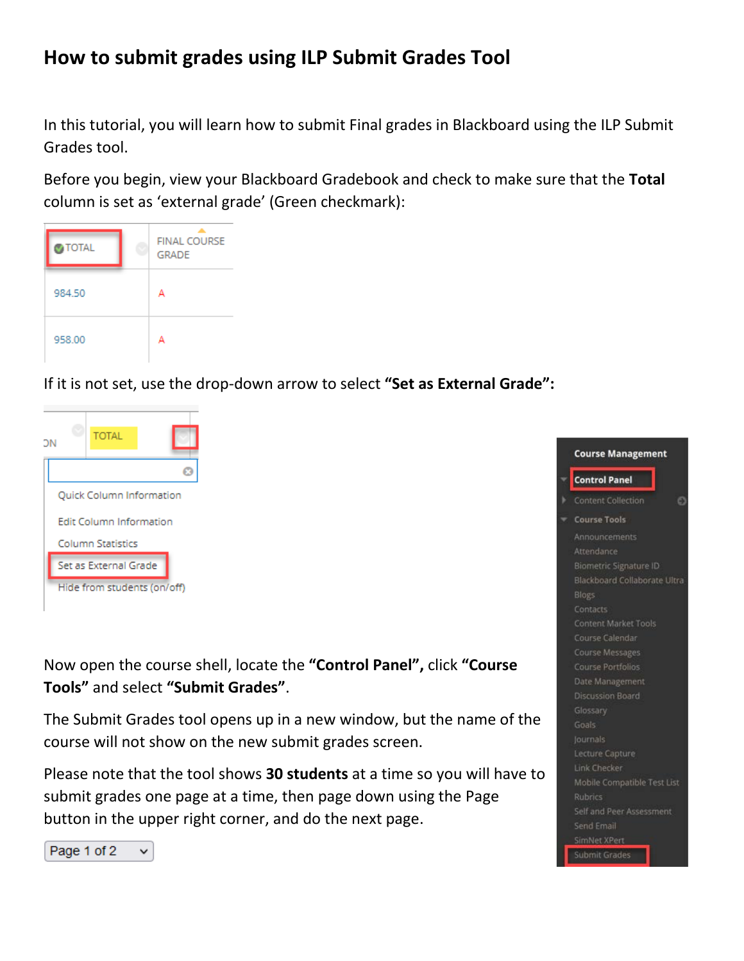## **How to submit grades using ILP Submit Grades Tool**

In this tutorial, you will learn how to submit Final grades in Blackboard using the ILP Submit Grades tool.

Before you begin, view your Blackboard Gradebook and check to make sure that the **Total** column is set as 'external grade' (Green checkmark):



If it is not set, use the drop-down arrow to select **"Set as External Grade":**



Now open the course shell, locate the **"Control Panel",** click **"Course Tools"** and select **"Submit Grades"**.

The Submit Grades tool opens up in a new window, but the name of the course will not show on the new submit grades screen.

Please note that the tool shows **30 students** at a time so you will have to submit grades one page at a time, then page down using the Page button in the upper right corner, and do the next page.

| <b>Course Management</b>      |
|-------------------------------|
| <b>Control Panel</b>          |
| Content Collection            |
| <b>Course Tools</b>           |
| Announcements                 |
| Attendance                    |
| <b>Biometric Signature ID</b> |
| Blackboard Collaborate Ultra  |
| Blogs                         |
| Contacts                      |
| <b>Content Market Tools</b>   |
| Course Calendar               |
| <b>Course Messages</b>        |
| Course Portfolios             |
| Date Management               |
| <b>Discussion Board</b>       |
| Glossary                      |
| Goals                         |
| Journals                      |
| Lecture Capture               |
| Link Checker                  |
| Mobile Compatible Test List   |
| Rubrics                       |
| Self and Peer Assessment      |
| <b>Send Email</b>             |
| SimNet XPert                  |
| Submit Grades                 |

Page 1 of 2  $\checkmark$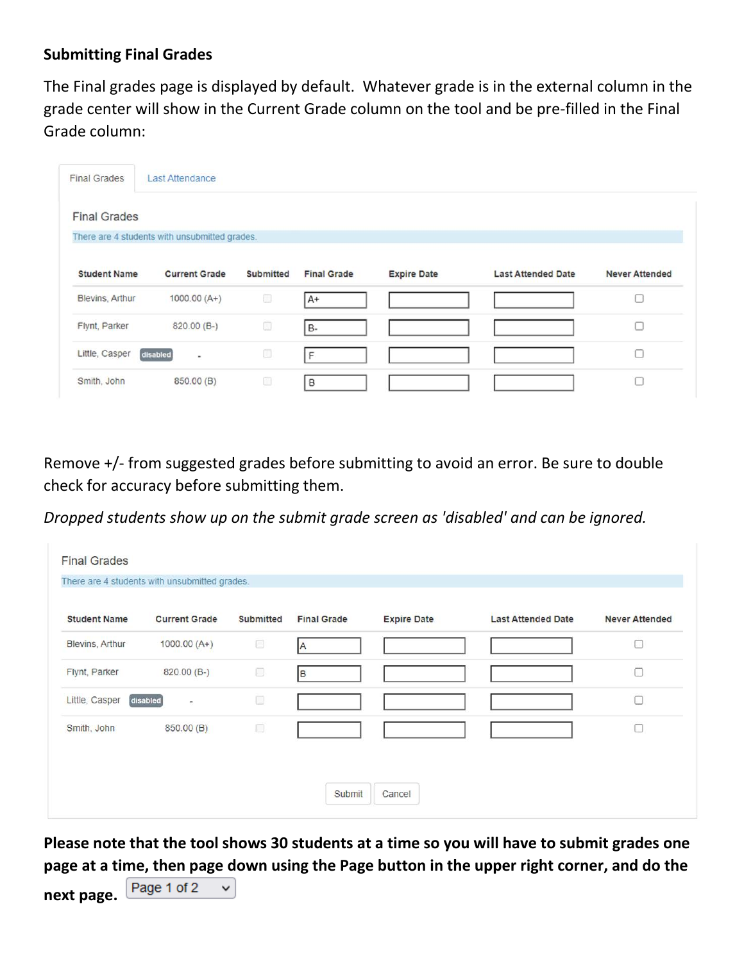## **Submitting Final Grades**

The Final grades page is displayed by default. Whatever grade is in the external column in the grade center will show in the Current Grade column on the tool and be pre-filled in the Final Grade column:

| <b>Final Grades</b> | <b>Last Attendance</b>                        |                  |                    |                    |                           |                       |
|---------------------|-----------------------------------------------|------------------|--------------------|--------------------|---------------------------|-----------------------|
| <b>Final Grades</b> |                                               |                  |                    |                    |                           |                       |
|                     | There are 4 students with unsubmitted grades. |                  |                    |                    |                           |                       |
| <b>Student Name</b> | <b>Current Grade</b>                          | <b>Submitted</b> | <b>Final Grade</b> | <b>Expire Date</b> | <b>Last Attended Date</b> | <b>Never Attended</b> |
| Blevins, Arthur     | $1000.00(A+)$                                 | 9                | $A+$               |                    |                           |                       |
| Flynt, Parker       | $820.00(B-)$                                  | o                | <b>B-</b>          |                    |                           |                       |
| Little, Casper      | disabled<br>$\sim$                            | Œ                | F                  |                    |                           |                       |
| Smith, John         | 850.00 (B)                                    | Ő                | B                  |                    |                           |                       |

Remove +/- from suggested grades before submitting to avoid an error. Be sure to double check for accuracy before submitting them.

*Dropped students show up on the submit grade screen as 'disabled' and can be ignored.*

|                     | There are 4 students with unsubmitted grades. |                  |                    |                    |                           |                       |
|---------------------|-----------------------------------------------|------------------|--------------------|--------------------|---------------------------|-----------------------|
| <b>Student Name</b> | <b>Current Grade</b>                          | <b>Submitted</b> | <b>Final Grade</b> | <b>Expire Date</b> | <b>Last Attended Date</b> | <b>Never Attended</b> |
| Blevins, Arthur     | $1000.00(A+)$                                 | 0                | <b>A</b>           |                    |                           | П                     |
| Flynt, Parker       | $820.00(B-)$                                  | U                | B                  |                    |                           | $\Box$                |
| Little, Casper      | disabled<br>$\overline{\phantom{a}}$          | O                |                    |                    |                           | $\Box$                |
| Smith, John         | 850.00 (B)                                    | 0                |                    |                    |                           | $\Box$                |
|                     |                                               |                  |                    |                    |                           |                       |

**Please note that the tool shows 30 students at a time so you will have to submit grades one page at a time, then page down using the Page button in the upper right corner, and do the** 

Page 1 of 2 **next page.**

 $\checkmark$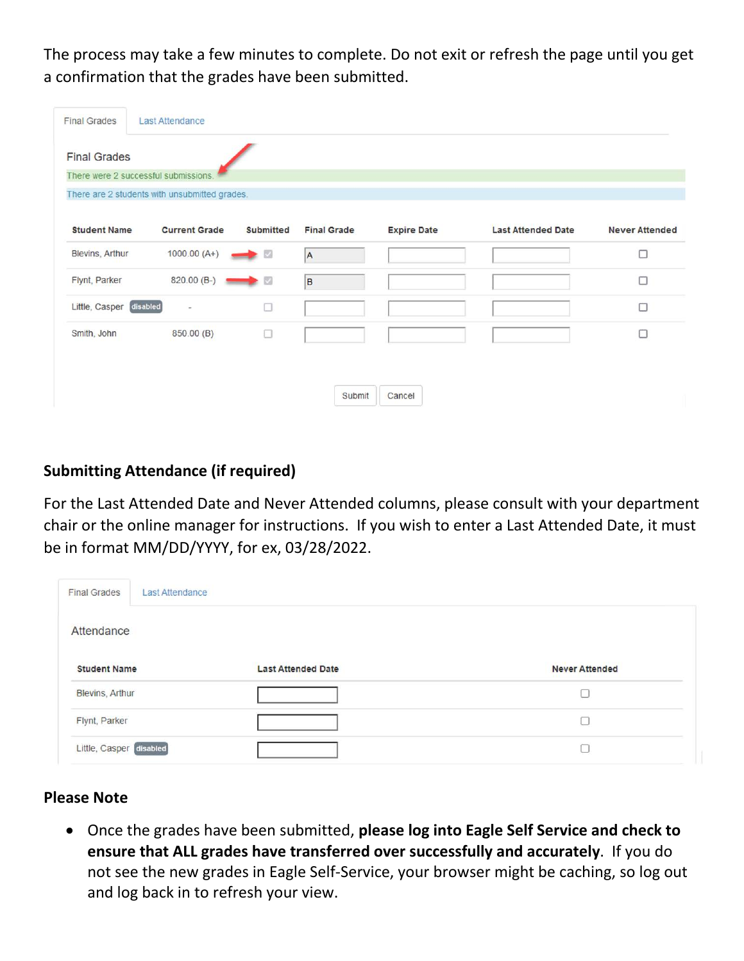The process may take a few minutes to complete. Do not exit or refresh the page until you get a confirmation that the grades have been submitted.

| <b>Last Attendance</b>                      |                  |                                                                                 |                    |                           |                       |
|---------------------------------------------|------------------|---------------------------------------------------------------------------------|--------------------|---------------------------|-----------------------|
|                                             |                  |                                                                                 |                    |                           |                       |
| There were 2 successful submissions.        |                  |                                                                                 |                    |                           |                       |
|                                             |                  |                                                                                 |                    |                           |                       |
| <b>Student Name</b><br><b>Current Grade</b> | <b>Submitted</b> | <b>Final Grade</b>                                                              | <b>Expire Date</b> | <b>Last Attended Date</b> | <b>Never Attended</b> |
| $1000.00(A+)$                               |                  | A                                                                               |                    |                           | $\Box$                |
| 820.00 (B-)                                 |                  | B                                                                               |                    |                           | $\Box$                |
| disabled<br>$\sim$                          | □                |                                                                                 |                    |                           | $\Box$                |
| 850.00 (B)                                  | o                |                                                                                 |                    |                           | □                     |
|                                             |                  |                                                                                 |                    |                           |                       |
|                                             |                  | Submit                                                                          | Cancel             |                           |                       |
|                                             |                  | There are 2 students with unsubmitted grades.<br>$\rightarrow$<br>$\rightarrow$ |                    |                           |                       |

## **Submitting Attendance (if required)**

For the Last Attended Date and Never Attended columns, please consult with your department chair or the online manager for instructions. If you wish to enter a Last Attended Date, it must be in format MM/DD/YYYY, for ex, 03/28/2022.

| <b>Final Grades</b><br>Last Attendance |                           |                       |
|----------------------------------------|---------------------------|-----------------------|
| Attendance                             |                           |                       |
| <b>Student Name</b>                    | <b>Last Attended Date</b> | <b>Never Attended</b> |
| Blevins, Arthur                        |                           | ľΙ                    |
| Flynt, Parker                          |                           |                       |
| Little, Casper disabled                |                           |                       |

## **Please Note**

• Once the grades have been submitted, **please log into Eagle Self Service and check to ensure that ALL grades have transferred over successfully and accurately**. If you do not see the new grades in Eagle Self-Service, your browser might be caching, so log out and log back in to refresh your view.